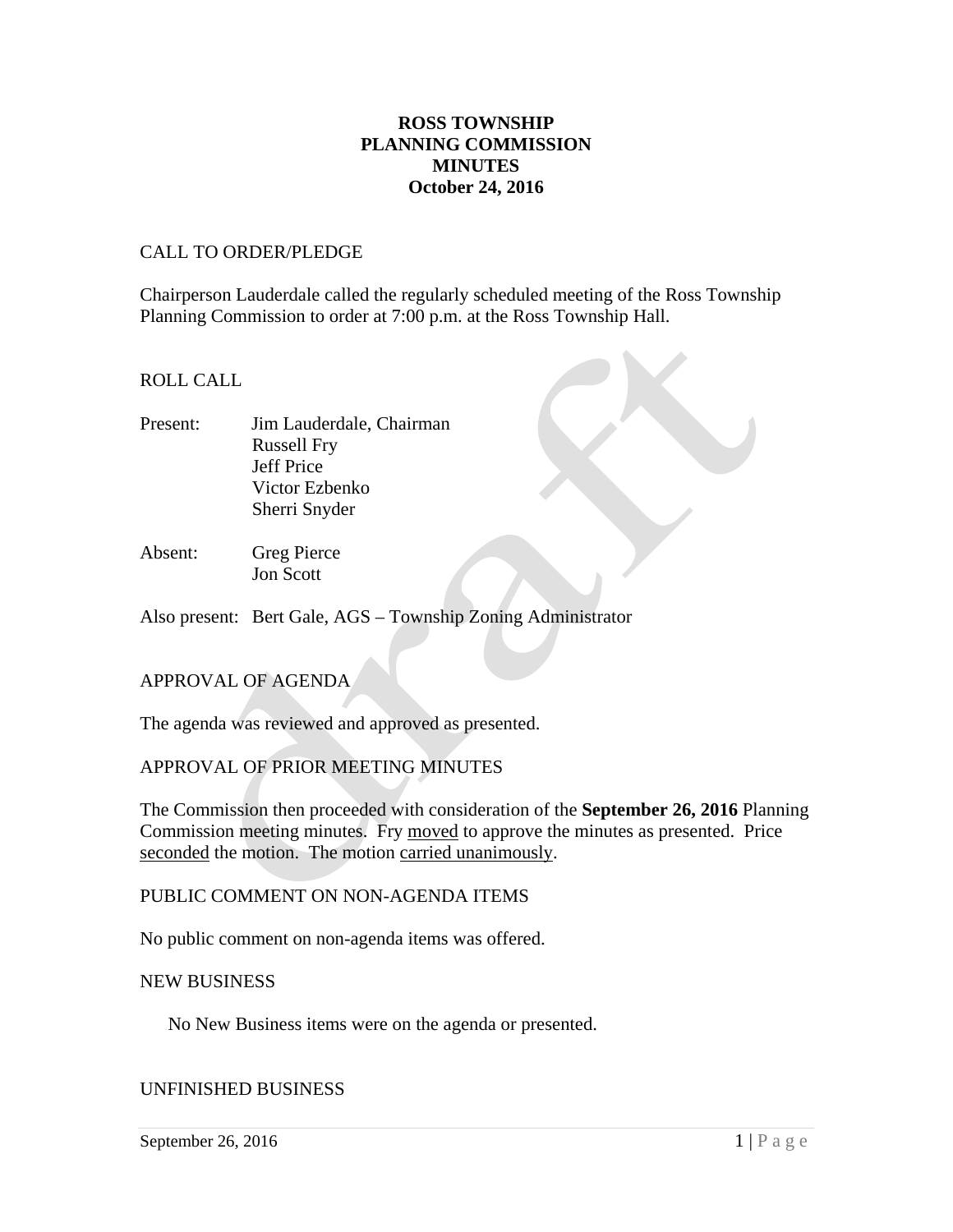## **ROSS TOWNSHIP PLANNING COMMISSION MINUTES October 24, 2016**

## CALL TO ORDER/PLEDGE

Chairperson Lauderdale called the regularly scheduled meeting of the Ross Township Planning Commission to order at 7:00 p.m. at the Ross Township Hall.

## ROLL CALL

- Present: Jim Lauderdale, Chairman Russell Fry Jeff Price Victor Ezbenko Sherri Snyder
- Absent: Greg Pierce Jon Scott

Also present: Bert Gale, AGS – Township Zoning Administrator

## APPROVAL OF AGENDA

The agenda was reviewed and approved as presented.

## APPROVAL OF PRIOR MEETING MINUTES

The Commission then proceeded with consideration of the **September 26, 2016** Planning Commission meeting minutes. Fry moved to approve the minutes as presented. Price seconded the motion. The motion carried unanimously.

## PUBLIC COMMENT ON NON-AGENDA ITEMS

No public comment on non-agenda items was offered.

#### NEW BUSINESS

No New Business items were on the agenda or presented.

#### UNFINISHED BUSINESS

September 26, 2016  $1 | P \text{ a } g \text{ e}$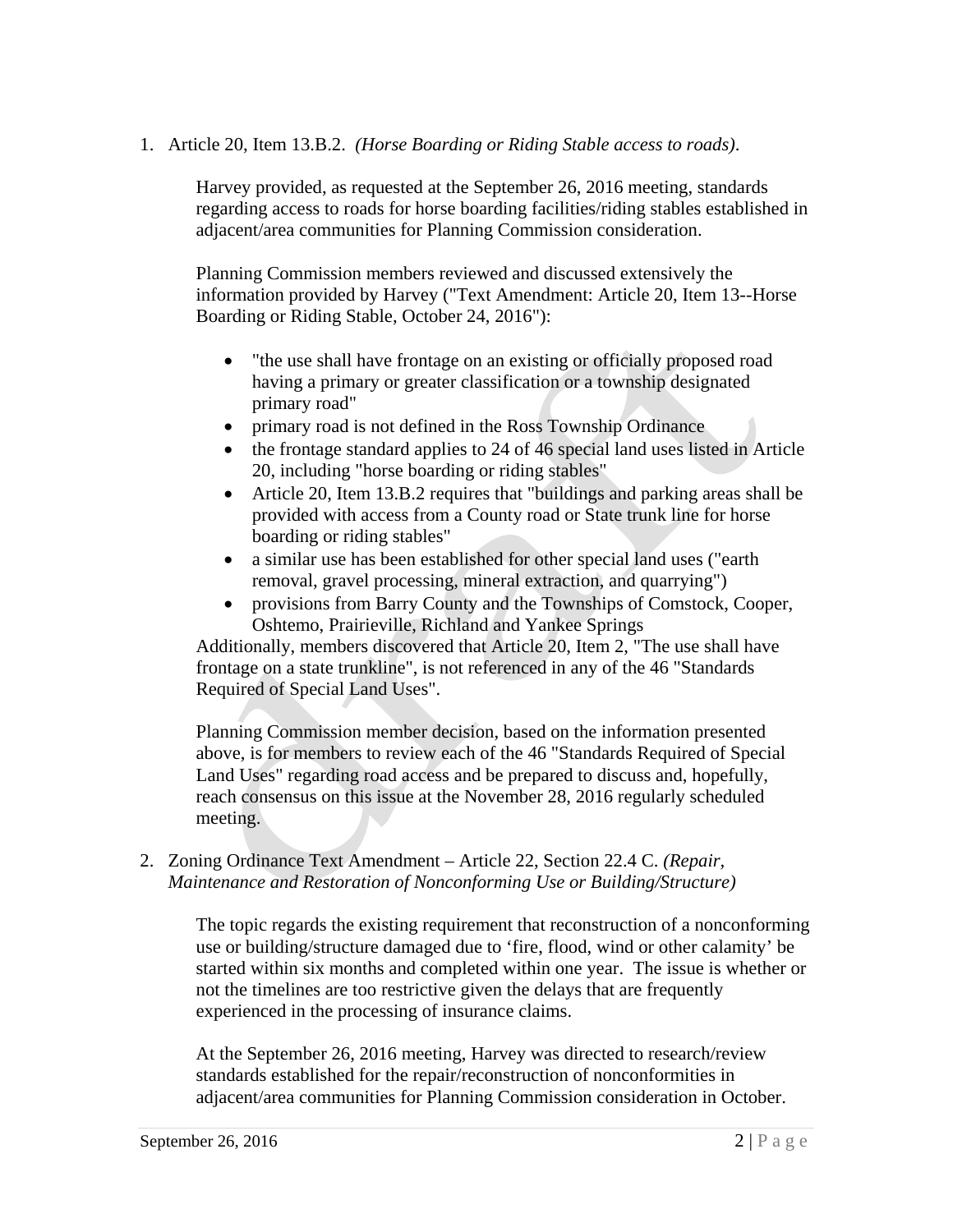## 1. Article 20, Item 13.B.2. *(Horse Boarding or Riding Stable access to roads)*.

Harvey provided, as requested at the September 26, 2016 meeting, standards regarding access to roads for horse boarding facilities/riding stables established in adjacent/area communities for Planning Commission consideration.

Planning Commission members reviewed and discussed extensively the information provided by Harvey ("Text Amendment: Article 20, Item 13--Horse Boarding or Riding Stable, October 24, 2016"):

- "the use shall have frontage on an existing or officially proposed road having a primary or greater classification or a township designated primary road"
- primary road is not defined in the Ross Township Ordinance
- the frontage standard applies to 24 of 46 special land uses listed in Article 20, including "horse boarding or riding stables"
- Article 20, Item 13.B.2 requires that "buildings and parking areas shall be provided with access from a County road or State trunk line for horse boarding or riding stables"
- a similar use has been established for other special land uses ("earth removal, gravel processing, mineral extraction, and quarrying")
- provisions from Barry County and the Townships of Comstock, Cooper, Oshtemo, Prairieville, Richland and Yankee Springs

Additionally, members discovered that Article 20, Item 2, "The use shall have frontage on a state trunkline", is not referenced in any of the 46 "Standards Required of Special Land Uses".

Planning Commission member decision, based on the information presented above, is for members to review each of the 46 "Standards Required of Special Land Uses" regarding road access and be prepared to discuss and, hopefully, reach consensus on this issue at the November 28, 2016 regularly scheduled meeting.

## 2. Zoning Ordinance Text Amendment – Article 22, Section 22.4 C. *(Repair, Maintenance and Restoration of Nonconforming Use or Building/Structure)*

The topic regards the existing requirement that reconstruction of a nonconforming use or building/structure damaged due to 'fire, flood, wind or other calamity' be started within six months and completed within one year. The issue is whether or not the timelines are too restrictive given the delays that are frequently experienced in the processing of insurance claims.

At the September 26, 2016 meeting, Harvey was directed to research/review standards established for the repair/reconstruction of nonconformities in adjacent/area communities for Planning Commission consideration in October.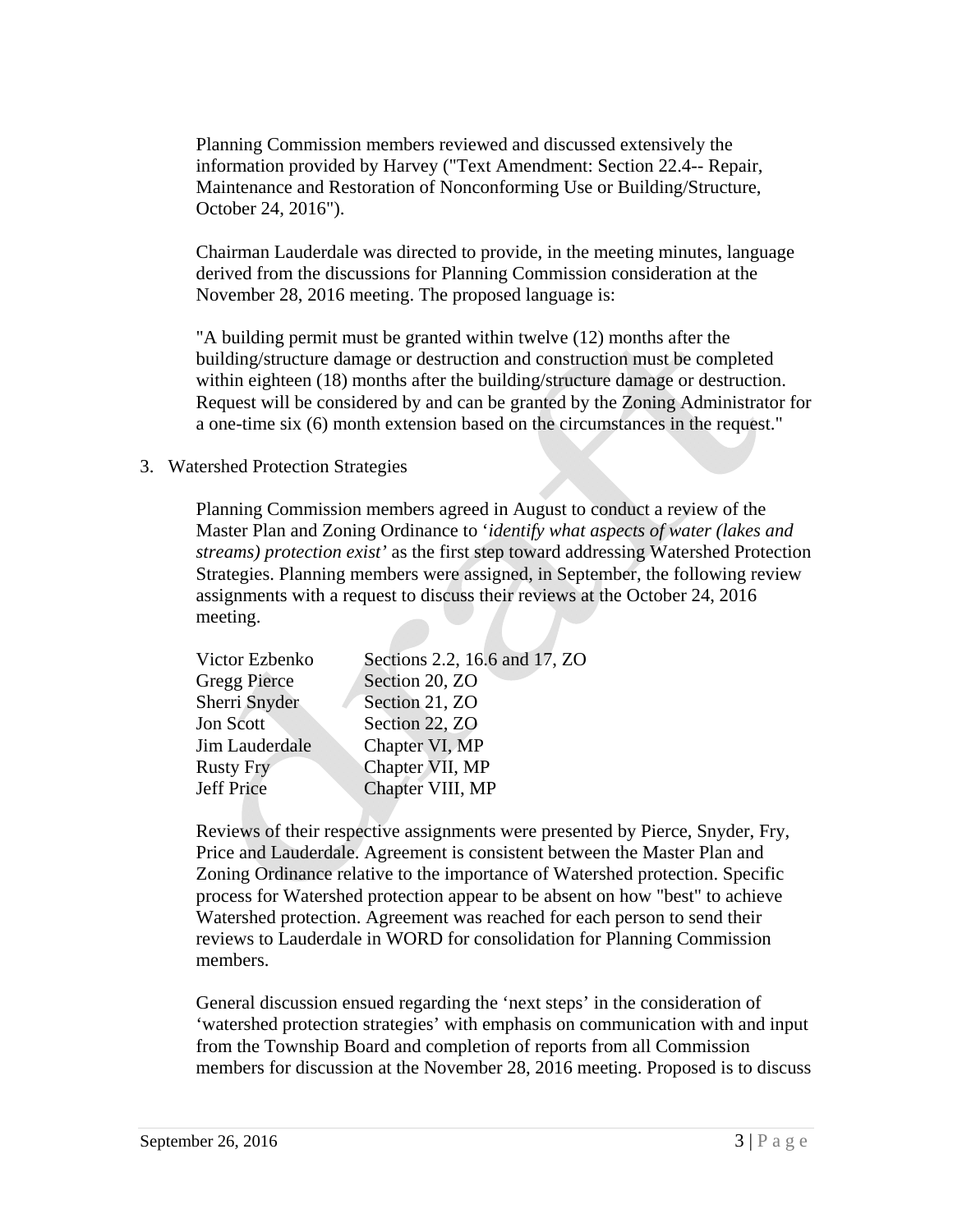Planning Commission members reviewed and discussed extensively the information provided by Harvey ("Text Amendment: Section 22.4-- Repair, Maintenance and Restoration of Nonconforming Use or Building/Structure, October 24, 2016").

Chairman Lauderdale was directed to provide, in the meeting minutes, language derived from the discussions for Planning Commission consideration at the November 28, 2016 meeting. The proposed language is:

"A building permit must be granted within twelve (12) months after the building/structure damage or destruction and construction must be completed within eighteen (18) months after the building/structure damage or destruction. Request will be considered by and can be granted by the Zoning Administrator for a one-time six (6) month extension based on the circumstances in the request."

## 3. Watershed Protection Strategies

Planning Commission members agreed in August to conduct a review of the Master Plan and Zoning Ordinance to '*identify what aspects of water (lakes and streams) protection exist'* as the first step toward addressing Watershed Protection Strategies. Planning members were assigned, in September, the following review assignments with a request to discuss their reviews at the October 24, 2016 meeting.

| Sections 2.2, 16.6 and 17, ZO |
|-------------------------------|
| Section 20, ZO                |
| Section 21, ZO                |
| Section 22, ZO                |
| Chapter VI, MP                |
| Chapter VII, MP               |
| Chapter VIII, MP              |
|                               |

Reviews of their respective assignments were presented by Pierce, Snyder, Fry, Price and Lauderdale. Agreement is consistent between the Master Plan and Zoning Ordinance relative to the importance of Watershed protection. Specific process for Watershed protection appear to be absent on how "best" to achieve Watershed protection. Agreement was reached for each person to send their reviews to Lauderdale in WORD for consolidation for Planning Commission members.

General discussion ensued regarding the 'next steps' in the consideration of 'watershed protection strategies' with emphasis on communication with and input from the Township Board and completion of reports from all Commission members for discussion at the November 28, 2016 meeting. Proposed is to discuss